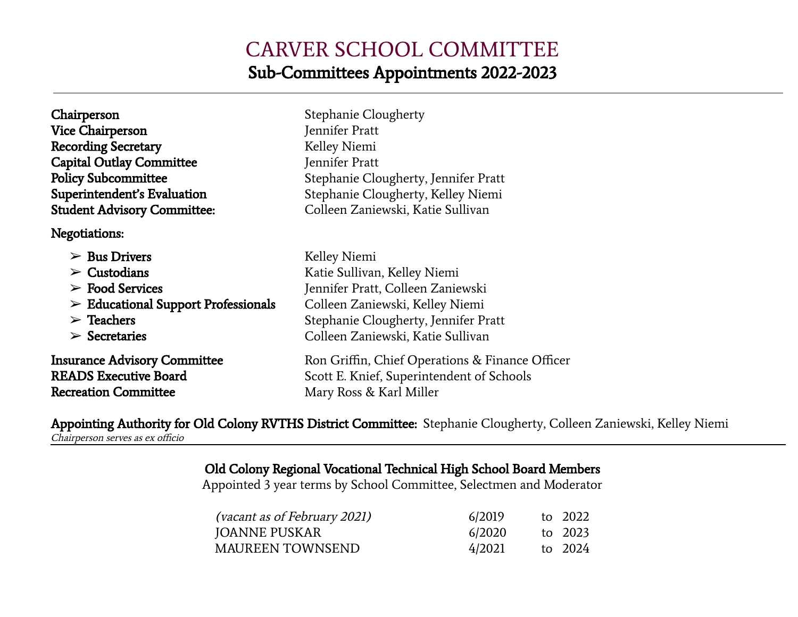## CARVER SCHOOL COMMITTEE Sub-Committees Appointments 2022-2023

| Chairperson<br><b>Vice Chairperson</b><br><b>Recording Secretary</b>                               | Stephanie Clougherty<br>Jennifer Pratt<br>Kelley Niemi                                                                  |
|----------------------------------------------------------------------------------------------------|-------------------------------------------------------------------------------------------------------------------------|
| <b>Capital Outlay Committee</b><br><b>Policy Subcommittee</b>                                      | Jennifer Pratt<br>Stephanie Clougherty, Jennifer Pratt                                                                  |
| Superintendent's Evaluation                                                                        | Stephanie Clougherty, Kelley Niemi                                                                                      |
| <b>Student Advisory Committee:</b>                                                                 | Colleen Zaniewski, Katie Sullivan                                                                                       |
| Negotiations:                                                                                      |                                                                                                                         |
| $\triangleright$ Bus Drivers                                                                       | Kelley Niemi                                                                                                            |
| $\triangleright$ Custodians                                                                        | Katie Sullivan, Kelley Niemi                                                                                            |
| $\triangleright$ Food Services                                                                     | Jennifer Pratt, Colleen Zaniewski                                                                                       |
| $\triangleright$ Educational Support Professionals                                                 | Colleen Zaniewski, Kelley Niemi                                                                                         |
| $\triangleright$ Teachers                                                                          | Stephanie Clougherty, Jennifer Pratt                                                                                    |
| $\triangleright$ Secretaries                                                                       | Colleen Zaniewski, Katie Sullivan                                                                                       |
| <b>Insurance Advisory Committee</b><br><b>READS Executive Board</b><br><b>Recreation Committee</b> | Ron Griffin, Chief Operations & Finance Officer<br>Scott E. Knief, Superintendent of Schools<br>Mary Ross & Karl Miller |

Appointing Authority for Old Colony RVTHS District Committee: Stephanie Clougherty, Colleen Zaniewski, Kelley Niemi Chairperson serves as ex officio

Old Colony Regional Vocational Technical High School Board Members

Appointed 3 year terms by School Committee, Selectmen and Moderator

| <i>(vacant as of February 2021)</i> | 6/2019 | to 2022 |
|-------------------------------------|--------|---------|
| <b>JOANNE PUSKAR</b>                | 6/2020 | to 2023 |
| <b>MAUREEN TOWNSEND</b>             | 4/2021 | to 2024 |